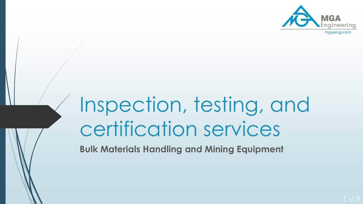

# Inspection, testing, and certification services

**Bulk Materials Handling and Mining Equipment**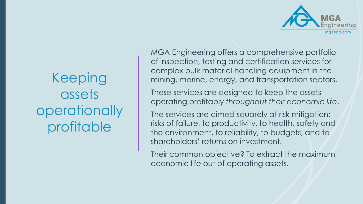

# Keeping assets operationally profitable

MGA Engineering offers a comprehensive portfolio of inspection, testing and certification services for complex bulk material handling equipment in the mining, marine, energy, and transportation sectors.

These services are designed to keep the assets operating profitably *throughout their economic life*.

The services are aimed squarely at risk mitigation: risks of failure, to productivity, to health, safety and the environment, to reliability, to budgets, and to shareholders' returns on investment.

Their common objective? To extract the maximum economic life out of operating assets.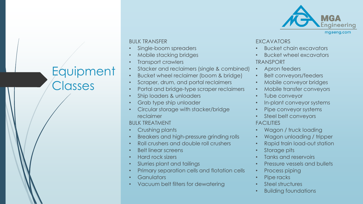

mgaeng.com

### BULK TRANSFER

- Single-boom spreaders
- Mobile stacking bridges
- Transport crawlers
- Stacker and reclaimers (single & combined)
- Bucket wheel reclaimer (boom & bridge)
- Scraper, drum, and portal reclaimers
- Portal and bridge-type scraper reclaimers
- Ship loaders & unloaders
- Grab type ship unloader
- Circular storage with stacker/bridge reclaimer

BULK TREATMENT

- Crushing plants
- Breakers and high-pressure grinding rolls
- Roll crushers and double roll crushers
- Belt linear screens
- Hard rock sizers
- Slurries plant and tailings
- Primary separation cells and flotation cells
- **Ganulators**
- Vacuum belt filters for dewatering

#### EXCAVATORS

- Bucket chain excavators
- Bucket wheel excavators TRANSPORT
- Apron feeders
- Belt conveyors/feeders
- Mobile conveyor bridges
- Mobile transfer conveyors
- Tube conveyor
- In-plant conveyor systems
- Pipe conveyor systems
- Steel belt conveyors

### **FACILITIES**

- Wagon / truck loading
- Wagon unloading / tripper
- Rapid train load-out station
- Storage pits
- Tanks and reservoirs
- Pressure vessels and bullets
- Process piping
- Pipe racks
- Steel structures
- Building foundations

# **Equipment Classes**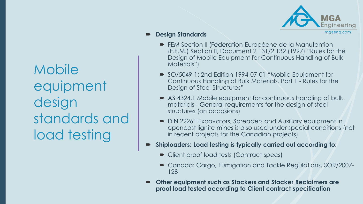mgaeng.com

### **Design Standards**

- FEM Section II (Fédération Européene de la Manutention (F.E.M.) Section II, Document 2 131/2 132 (1997) "Rules for the Design of Mobile Equipment for Continuous Handling of Bulk Materials")
- SO/5049-1: 2nd Edition 1994-07-01 "Mobile Equipment for Continuous Handling of Bulk Materials. Part 1 - Rules for the Design of Steel Structures"
- AS 4324.1 Mobile equipment for continuous handling of bulk materials - General requirements for the design of steel structures (on occasions)
- DIN 22261 Excavators, Spreaders and Auxiliary equipment in opencast lignite mines is also used under special conditions (not in recent projects for the Canadian projects).
- **Shiploaders: Load testing is typically carried out according to:**
	- Client proof load tests (Contract specs)
	- Canada: Cargo, Fumigation and Tackle Regulations, SOR/2007-128
- **Other equipment such as Stackers and Stacker Reclaimers are proof load tested according to Client contract specification**

**Mobile** equipment design standards and load testing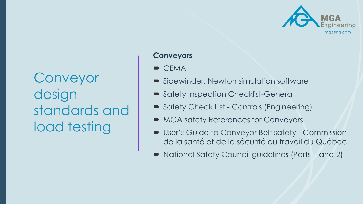

Conveyor design standards and load testing

### **Conveyors**

- $\blacksquare$  CEMA
- Sidewinder, Newton simulation software
- Safety Inspection Checklist-General
- Safety Check List Controls (Engineering)
- MGA safety References for Conveyors
- User's Guide to Conveyor Belt safety Commission de la santé et de la sécurité du travail du Québec
- National Safety Council guidelines (Parts 1 and 2)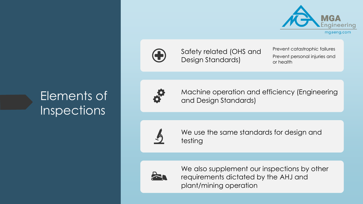



Safety related (OHS and Design Standards)

Prevent catastrophic failures Prevent personal injuries and or health

# Elements of **Inspections**



Machine operation and efficiency (Engineering and Design Standards)



We use the same standards for design and testing



We also supplement our inspections by other requirements dictated by the AHJ and plant/mining operation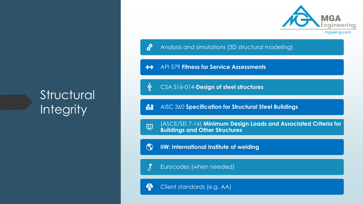# **Structural Integrity**



 $\boldsymbol{\delta}^{\boldsymbol{\Omega}}$ Analysis and simulations (3D structural modeling)

API 579 **Fitness for Service Assessments**  $\mathbf{H}$ 

嘯 CSA S16-014-**Design of steel structures**

畾 AISC 360 **Specification for Structural Steel Buildings**

(ASCE/SEI 7-16) **Minimum Design Loads and Associated Criteria for**  裒 **Buildings and Other Structures**

 $\odot$ **IIW: International Institute of welding**

י<br>לג Eurocodes (when needed)

4 Client standards (e.g. AA)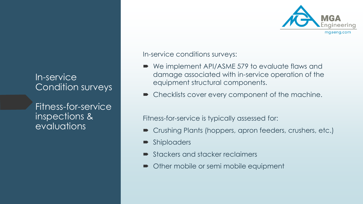# In-service Condition surveys

Fitness-for-service inspections & evaluations

In-service conditions surveys:

- We implement API/ASME 579 to evaluate flaws and damage associated with in-service operation of the equipment structural components.
- Checklists cover every component of the machine.

Fitness-for-service is typically assessed for:

- Crushing Plants (hoppers, apron feeders, crushers, etc.)
- **Shiploaders**
- Stackers and stacker reclaimers
- Other mobile or semi mobile equipment